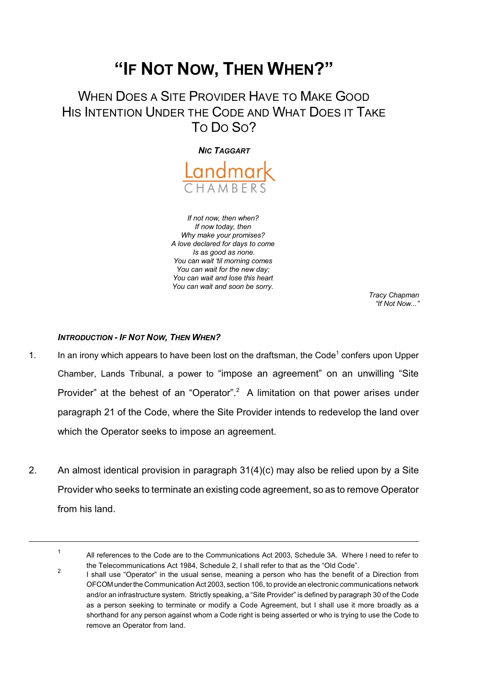# **"IF NOT NOW, THEN WHEN?"**

## WHEN DOES A SITE PROVIDER HAVE TO MAKE GOOD HIS INTENTION UNDER THE CODE AND WHAT DOES IT TAKE TO DO SO?

*NIC TAGGART*



*If not now, then when? If now today, then Why make your promises? A love declared for days to come Is as good as none. You can wait 'til morning comes You can wait for the new day; You can wait and lose this heart You can wait and soon be sorry.* 

*Tracy Chapman "If Not Now..."*

## *INTRODUCTION - IF NOT NOW, THEN WHEN?*

- 1. In an irony which appears to have been lost on the draftsman, the Code<sup>1</sup> confers upon Upper Chamber, Lands Tribunal, a power to "impose an agreement" on an unwilling "Site Provider" at the behest of an "Operator".<sup>2</sup> A limitation on that power arises under paragraph 21 of the Code, where the Site Provider intends to redevelop the land over which the Operator seeks to impose an agreement.
- 2. An almost identical provision in paragraph 31(4)(c) may also be relied upon by a Site Provider who seeks to terminate an existing code agreement, so as to remove Operator from his land.

<sup>1</sup> All references to the Code are to the Communications Act 2003, Schedule 3A. Where I need to refer to the Telecommunications Act 1984, Schedule 2, I shall refer to that as the "Old Code". 2

I shall use "Operator" in the usual sense, meaning a person who has the benefit of a Direction from OFCOMunderthe Communication Act 2003, section 106, to provide an electronic communications network and/or an infrastructure system. Strictly speaking, a "Site Provider" is defined by paragraph 30 of the Code as a person seeking to terminate or modify a Code Agreement, but I shall use it more broadly as a shorthand for any person against whom a Code right is being asserted or who is trying to use the Code to remove an Operator from land.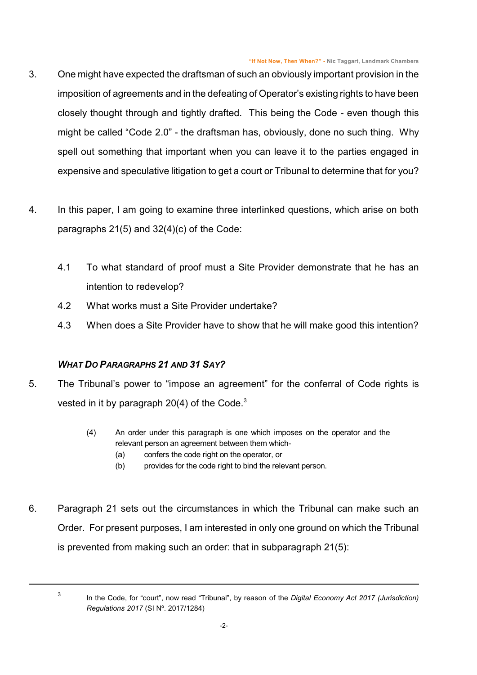- 3. One might have expected the draftsman of such an obviously important provision in the imposition of agreements and in the defeating of Operator's existing rights to have been closely thought through and tightly drafted. This being the Code - even though this might be called "Code 2.0" - the draftsman has, obviously, done no such thing. Why spell out something that important when you can leave it to the parties engaged in expensive and speculative litigation to get a court or Tribunal to determine that for you?
- 4. In this paper, I am going to examine three interlinked questions, which arise on both paragraphs 21(5) and 32(4)(c) of the Code:
	- 4.1 To what standard of proof must a Site Provider demonstrate that he has an intention to redevelop?
	- 4.2 What works must a Site Provider undertake?
	- 4.3 When does a Site Provider have to show that he will make good this intention?

## *WHAT DO PARAGRAPHS 21 AND 31 SAY?*

- 5. The Tribunal's power to "impose an agreement" for the conferral of Code rights is vested in it by paragraph  $20(4)$  of the Code.<sup>3</sup>
	- (4) An order under this paragraph is one which imposes on the operator and the relevant person an agreement between them which-
		- (a) confers the code right on the operator, or
		- (b) provides for the code right to bind the relevant person.
- 6. Paragraph 21 sets out the circumstances in which the Tribunal can make such an Order. For present purposes, I am interested in only one ground on which the Tribunal is prevented from making such an order: that in subparagraph 21(5):

<sup>3</sup>

In the Code, for "court", now read "Tribunal", by reason of the *Digital Economy Act 2017 (Jurisdiction) Regulations 2017* (SI Nº. 2017/1284)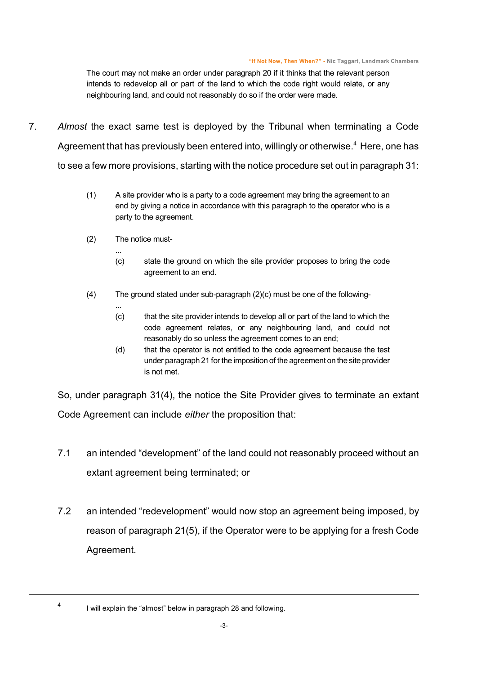The court may not make an order under paragraph 20 if it thinks that the relevant person intends to redevelop all or part of the land to which the code right would relate, or any neighbouring land, and could not reasonably do so if the order were made.

- 7. *Almost* the exact same test is deployed by the Tribunal when terminating a Code Agreement that has previously been entered into, willingly or otherwise.<sup>4</sup> Here, one has to see a few more provisions, starting with the notice procedure set out in paragraph 31:
	- (1) A site provider who is a party to a code agreement may bring the agreement to an end by giving a notice in accordance with this paragraph to the operator who is a party to the agreement.
	- (2) The notice must-

...

...

- (c) state the ground on which the site provider proposes to bring the code agreement to an end.
- (4) The ground stated under sub-paragraph (2)(c) must be one of the following-
	- (c) that the site provider intends to develop all or part of the land to which the code agreement relates, or any neighbouring land, and could not reasonably do so unless the agreement comes to an end;
	- (d) that the operator is not entitled to the code agreement because the test under paragraph 21 for the imposition of the agreement on the site provider is not met.

So, under paragraph 31(4), the notice the Site Provider gives to terminate an extant Code Agreement can include *either* the proposition that:

- 7.1 an intended "development" of the land could not reasonably proceed without an extant agreement being terminated; or
- 7.2 an intended "redevelopment" would now stop an agreement being imposed, by reason of paragraph 21(5), if the Operator were to be applying for a fresh Code Agreement.

<sup>4</sup>

I will explain the "almost" below in paragraph [28](#page-13-0) and following.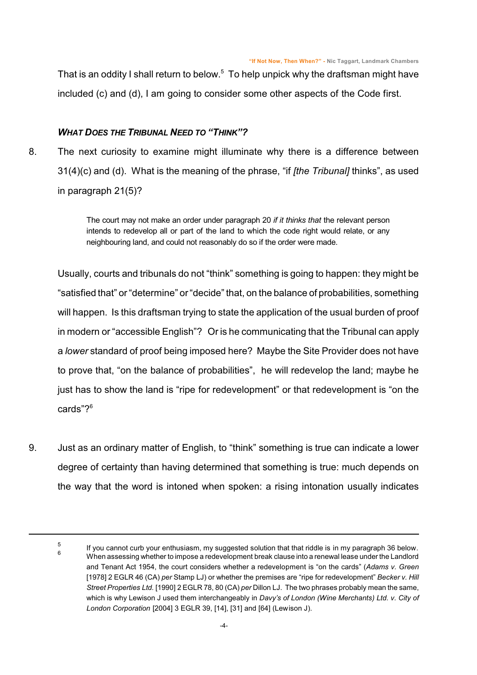That is an oddity I shall return to below.<sup>5</sup> To help unpick why the draftsman might have included (c) and (d), I am going to consider some other aspects of the Code first.

## *WHAT DOES THE TRIBUNAL NEED TO "THINK"?*

8. The next curiosity to examine might illuminate why there is a difference between 31(4)(c) and (d). What is the meaning of the phrase, "if *[the Tribunal]* thinks", as used in paragraph 21(5)?

> The court may not make an order under paragraph 20 *if it thinks that* the relevant person intends to redevelop all or part of the land to which the code right would relate, or any neighbouring land, and could not reasonably do so if the order were made.

Usually, courts and tribunals do not "think" something is going to happen: they might be "satisfied that" or "determine" or "decide" that, on the balance of probabilities, something will happen. Is this draftsman trying to state the application of the usual burden of proof in modern or "accessible English"? Or is he communicating that the Tribunal can apply a *lower* standard of proof being imposed here? Maybe the Site Provider does not have to prove that, "on the balance of probabilities", he will redevelop the land; maybe he just has to show the land is "ripe for redevelopment" or that redevelopment is "on the cards"?<sup>6</sup>

9. Just as an ordinary matter of English, to "think" something is true can indicate a lower degree of certainty than having determined that something is true: much depends on the way that the word is intoned when spoken: a rising intonation usually indicates

<sup>5</sup> If you cannot curb your enthusiasm, my suggested solution that that riddle is in my paragraph [36](#page-16-0) below. <sup>6</sup><br>When assessing whether to impose a redevelopment break clause into a renewal lease under the Landlord and Tenant Act 1954, the court considers whether a redevelopment is "on the cards" (*Adams v. Green* [1978] 2 EGLR 46 (CA) *per* Stamp LJ) or whether the premises are "ripe for redevelopment" *Becker v. Hill Street Properties Ltd.* [1990] 2 EGLR 78, 80 (CA) *per* Dillon LJ. The two phrases probably mean the same, which is why Lewison J used them interchangeably in *Davy's of London (Wine Merchants) Ltd. v. City of London Corporation* [2004] 3 EGLR 39, [14], [31] and [64] (Lewison J).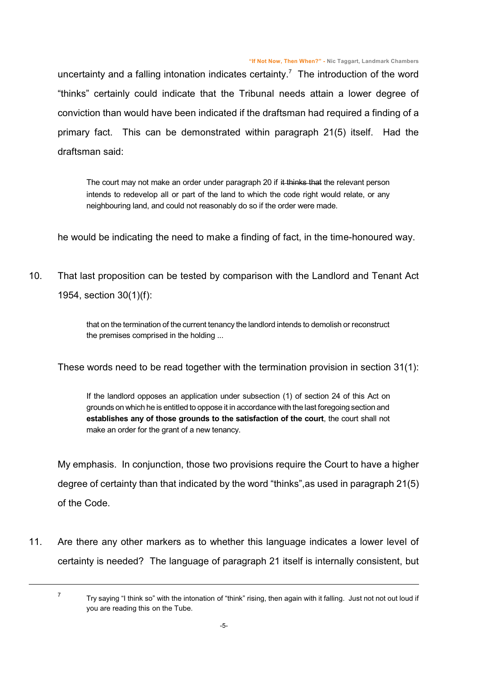uncertainty and a falling intonation indicates certainty.<sup>7</sup> The introduction of the word "thinks" certainly could indicate that the Tribunal needs attain a lower degree of conviction than would have been indicated if the draftsman had required a finding of a primary fact. This can be demonstrated within paragraph 21(5) itself. Had the draftsman said:

The court may not make an order under paragraph 20 if it thinks that the relevant person intends to redevelop all or part of the land to which the code right would relate, or any neighbouring land, and could not reasonably do so if the order were made.

he would be indicating the need to make a finding of fact, in the time-honoured way.

10. That last proposition can be tested by comparison with the Landlord and Tenant Act 1954, section 30(1)(f):

> that on the termination of the current tenancy the landlord intends to demolish or reconstruct the premises comprised in the holding ...

These words need to be read together with the termination provision in section 31(1):

If the landlord opposes an application under subsection (1) of section 24 of this Act on grounds on which he is entitled to oppose it in accordance with the last foregoing section and **establishes any of those grounds to the satisfaction of the court**, the court shall not make an order for the grant of a new tenancy.

My emphasis. In conjunction, those two provisions require the Court to have a higher degree of certainty than that indicated by the word "thinks",as used in paragraph 21(5) of the Code.

11. Are there any other markers as to whether this language indicates a lower level of certainty is needed? The language of paragraph 21 itself is internally consistent, but

7

Try saying "I think so" with the intonation of "think" rising, then again with it falling. Just not not out loud if you are reading this on the Tube.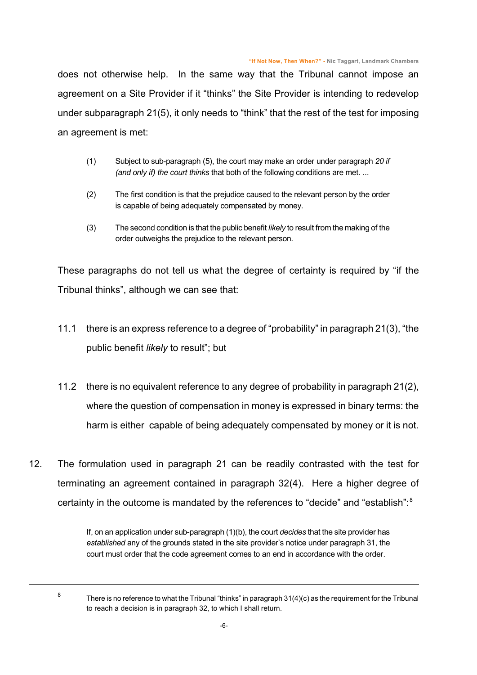does not otherwise help. In the same way that the Tribunal cannot impose an agreement on a Site Provider if it "thinks" the Site Provider is intending to redevelop under subparagraph 21(5), it only needs to "think" that the rest of the test for imposing an agreement is met:

- (1) Subject to sub-paragraph (5), the court may make an order under paragraph *20 if (and only if) the court thinks* that both of the following conditions are met. ...
- (2) The first condition is that the prejudice caused to the relevant person by the order is capable of being adequately compensated by money.
- (3) The second condition is that the public benefit *likely* to result from the making of the order outweighs the prejudice to the relevant person.

These paragraphs do not tell us what the degree of certainty is required by "if the Tribunal thinks", although we can see that:

- 11.1 there is an express reference to a degree of "probability" in paragraph 21(3), "the public benefit *likely* to result"; but
- 11.2 there is no equivalent reference to any degree of probability in paragraph 21(2), where the question of compensation in money is expressed in binary terms: the harm is either capable of being adequately compensated by money or it is not.
- 12. The formulation used in paragraph 21 can be readily contrasted with the test for terminating an agreement contained in paragraph 32(4). Here a higher degree of certainty in the outcome is mandated by the references to "decide" and "establish":<sup>8</sup>

If, on an application under sub-paragraph (1)(b), the court *decides* that the site provider has *established* any of the grounds stated in the site provider's notice under paragraph 31, the court must order that the code agreement comes to an end in accordance with the order.

8

There is no reference to what the Tribunal "thinks" in paragraph 31(4)(c) as the requirement for the Tribunal to reach a decision is in paragraph 32, to which I shall return.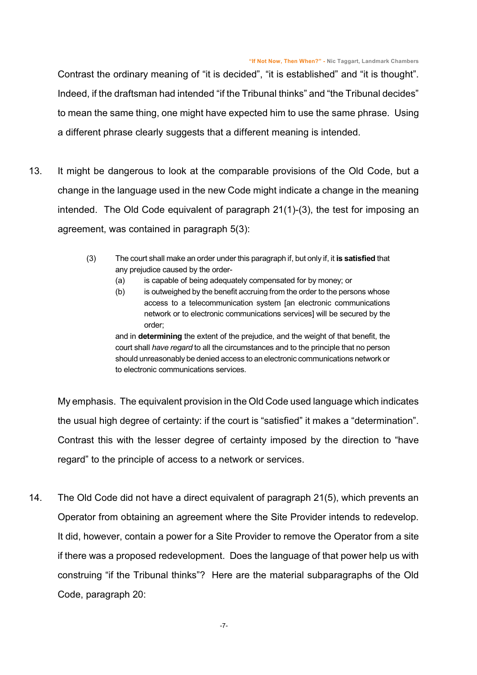Contrast the ordinary meaning of "it is decided", "it is established" and "it is thought". Indeed, if the draftsman had intended "if the Tribunal thinks" and "the Tribunal decides" to mean the same thing, one might have expected him to use the same phrase. Using a different phrase clearly suggests that a different meaning is intended.

- 13. It might be dangerous to look at the comparable provisions of the Old Code, but a change in the language used in the new Code might indicate a change in the meaning intended. The Old Code equivalent of paragraph 21(1)-(3), the test for imposing an agreement, was contained in paragraph 5(3):
	- (3) The court shall make an order under this paragraph if, but only if, it **is satisfied** that any prejudice caused by the order-
		- (a) is capable of being adequately compensated for by money; or
		- (b) is outweighed by the benefit accruing from the order to the persons whose access to a telecommunication system [an electronic communications network or to electronic communications services] will be secured by the order;

and in **determining** the extent of the prejudice, and the weight of that benefit, the court shall *have regard* to all the circumstances and to the principle that no person should unreasonably be denied access to an electronic communications network or to electronic communications services.

My emphasis. The equivalent provision in the Old Code used language which indicates the usual high degree of certainty: if the court is "satisfied" it makes a "determination". Contrast this with the lesser degree of certainty imposed by the direction to "have regard" to the principle of access to a network or services.

14. The Old Code did not have a direct equivalent of paragraph 21(5), which prevents an Operator from obtaining an agreement where the Site Provider intends to redevelop. It did, however, contain a power for a Site Provider to remove the Operator from a site if there was a proposed redevelopment. Does the language of that power help us with construing "if the Tribunal thinks"? Here are the material subparagraphs of the Old Code, paragraph 20: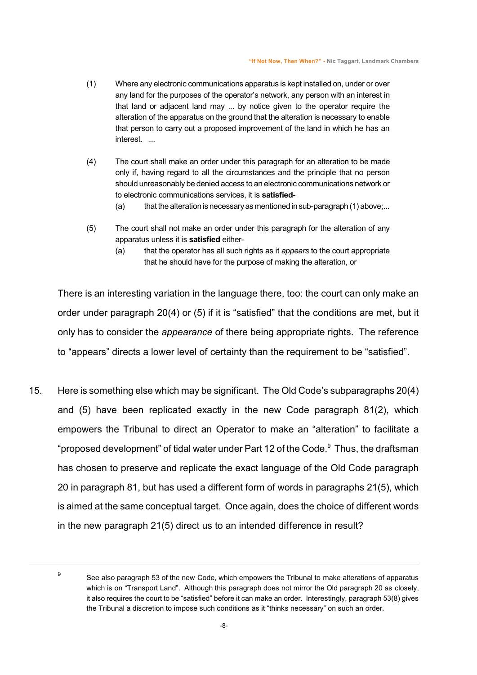- (1) Where any electronic communications apparatus is kept installed on, under or over any land for the purposes of the operator's network, any person with an interest in that land or adjacent land may ... by notice given to the operator require the alteration of the apparatus on the ground that the alteration is necessary to enable that person to carry out a proposed improvement of the land in which he has an interest. ...
- (4) The court shall make an order under this paragraph for an alteration to be made only if, having regard to all the circumstances and the principle that no person should unreasonably be denied access to an electronic communications network or to electronic communications services, it is **satisfied**-
	- (a) that the alteration is necessary as mentioned in sub-paragraph  $(1)$  above;...
- (5) The court shall not make an order under this paragraph for the alteration of any apparatus unless it is **satisfied** either-
	- (a) that the operator has all such rights as it *appears* to the court appropriate that he should have for the purpose of making the alteration, or

There is an interesting variation in the language there, too: the court can only make an order under paragraph 20(4) or (5) if it is "satisfied" that the conditions are met, but it only has to consider the *appearance* of there being appropriate rights. The reference to "appears" directs a lower level of certainty than the requirement to be "satisfied".

15. Here is something else which may be significant. The Old Code's subparagraphs 20(4) and (5) have been replicated exactly in the new Code paragraph 81(2), which empowers the Tribunal to direct an Operator to make an "alteration" to facilitate a "proposed development" of tidal water under Part 12 of the Code.<sup>9</sup> Thus, the draftsman has chosen to preserve and replicate the exact language of the Old Code paragraph 20 in paragraph 81, but has used a different form of words in paragraphs 21(5), which is aimed at the same conceptual target. Once again, does the choice of different words in the new paragraph 21(5) direct us to an intended difference in result?

9

See also paragraph 53 of the new Code, which empowers the Tribunal to make alterations of apparatus which is on "Transport Land". Although this paragraph does not mirror the Old paragraph 20 as closely, it also requires the court to be "satisfied" before it can make an order. Interestingly, paragraph 53(8) gives the Tribunal a discretion to impose such conditions as it "thinks necessary" on such an order.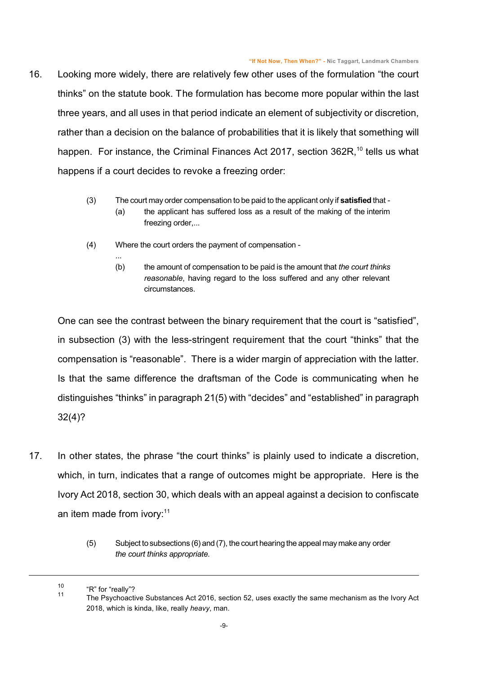- 16. Looking more widely, there are relatively few other uses of the formulation "the court thinks" on the statute book. The formulation has become more popular within the last three years, and all uses in that period indicate an element of subjectivity or discretion, rather than a decision on the balance of probabilities that it is likely that something will happen. For instance, the Criminal Finances Act 2017, section 362R,<sup>10</sup> tells us what happens if a court decides to revoke a freezing order:
	- (3) The court may order compensation to be paid to the applicant only if **satisfied** that
		- (a) the applicant has suffered loss as a result of the making of the interim freezing order,...
	- (4) Where the court orders the payment of compensation -

...

(b) the amount of compensation to be paid is the amount that *the court thinks reasonable*, having regard to the loss suffered and any other relevant circumstances.

One can see the contrast between the binary requirement that the court is "satisfied", in subsection (3) with the less-stringent requirement that the court "thinks" that the compensation is "reasonable". There is a wider margin of appreciation with the latter. Is that the same difference the draftsman of the Code is communicating when he distinguishes "thinks" in paragraph 21(5) with "decides" and "established" in paragraph 32(4)?

- 17. In other states, the phrase "the court thinks" is plainly used to indicate a discretion, which, in turn, indicates that a range of outcomes might be appropriate. Here is the Ivory Act 2018, section 30, which deals with an appeal against a decision to confiscate an item made from ivory:<sup>11</sup>
	- (5) Subject to subsections (6) and(7), the court hearing the appeal maymakeany order *the court thinks appropriate.*

<sup>10</sup> "R" for "really"?

<sup>11</sup> The Psychoactive Substances Act 2016, section 52, uses exactly the same mechanism as the Ivory Act 2018, which is kinda, like, really *heavy*, man.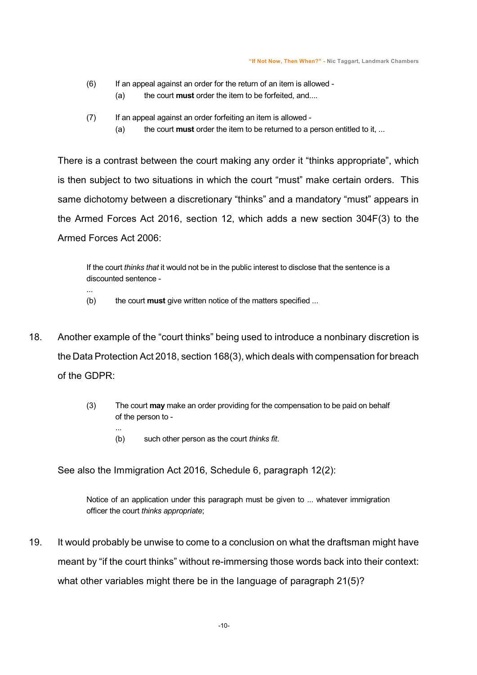- (6) If an appeal against an order for the return of an item is allowed (a) the court **must** order the item to be forfeited, and....
- (7) If an appeal against an order forfeiting an item is allowed
	- (a) the court **must** order the item to be returned to a person entitled to it, ...

There is a contrast between the court making any order it "thinks appropriate", which is then subject to two situations in which the court "must" make certain orders. This same dichotomy between a discretionary "thinks" and a mandatory "must" appears in the Armed Forces Act 2016, section 12, which adds a new section 304F(3) to the Armed Forces Act 2006:

If the court *thinks that* it would not be in the public interest to disclose that the sentence is a discounted sentence -

(b) the court **must** give written notice of the matters specified ...

...

...

- 18. Another example of the "court thinks" being used to introduce a nonbinary discretion is the Data Protection Act 2018, section 168(3), which deals with compensation for breach of the GDPR:
	- (3) The court **may** make an order providing for the compensation to be paid on behalf of the person to -
		- (b) such other person as the court *thinks fit*.

See also the Immigration Act 2016, Schedule 6, paragraph 12(2):

Notice of an application under this paragraph must be given to ... whatever immigration officer the court *thinks appropriate*;

19. It would probably be unwise to come to a conclusion on what the draftsman might have meant by "if the court thinks" without re-immersing those words back into their context: what other variables might there be in the language of paragraph 21(5)?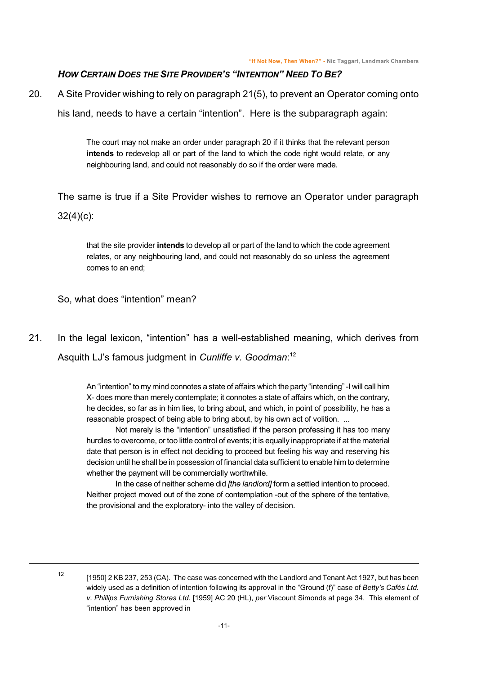## *HOW CERTAIN DOES THE SITE PROVIDER'S "INTENTION" NEED TO BE?*

20. A Site Provider wishing to rely on paragraph 21(5), to prevent an Operator coming onto

his land, needs to have a certain "intention". Here is the subparagraph again:

The court may not make an order under paragraph 20 if it thinks that the relevant person **intends** to redevelop all or part of the land to which the code right would relate, or any neighbouring land, and could not reasonably do so if the order were made.

The same is true if a Site Provider wishes to remove an Operator under paragraph 32(4)(c):

that the site provider **intends** to develop all or part of the land to which the code agreement relates, or any neighbouring land, and could not reasonably do so unless the agreement comes to an end;

So, what does "intention" mean?

21. In the legal lexicon, "intention" has a well-established meaning, which derives from Asquith LJ's famous judgment in *Cunliffe v. Goodman*: 12

> <span id="page-10-0"></span>An "intention" to my mind connotes a state of affairs which the party "intending" -I will call him X- does more than merely contemplate; it connotes a state of affairs which, on the contrary, he decides, so far as in him lies, to bring about, and which, in point of possibility, he has a reasonable prospect of being able to bring about, by his own act of volition. ...

> Not merely is the "intention" unsatisfied if the person professing it has too many hurdles to overcome, or too little control of events; it is equally inappropriate if at the material date that person is in effect not deciding to proceed but feeling his way and reserving his decision until he shall be in possession of financial data sufficient to enable him to determine whether the payment will be commercially worthwhile.

> In the case of neither scheme did *[the landlord]* form a settled intention to proceed. Neither project moved out of the zone of contemplation -out of the sphere of the tentative, the provisional and the exploratory- into the valley of decision.

12

<sup>[1950] 2</sup> KB 237, 253 (CA). The case was concerned with the Landlord and Tenant Act 1927, but has been widely used as a definition of intention following its approval in the "Ground (f)" case of *Betty's Cafés Ltd. v. Phillips Furnishing Stores Ltd.* [1959] AC 20 (HL), *per* Viscount Simonds at page 34. This element of "intention" has been approved in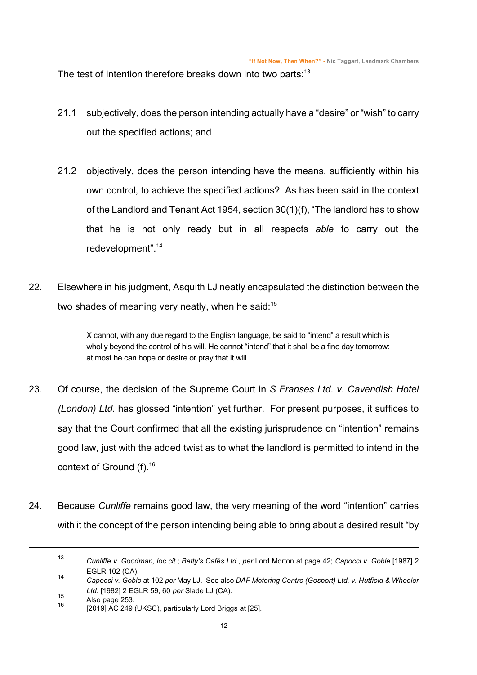The test of intention therefore breaks down into two parts: $13$ 

- 21.1 subjectively, does the person intending actually have a "desire" or "wish" to carry out the specified actions; and
- 21.2 objectively, does the person intending have the means, sufficiently within his own control, to achieve the specified actions? As has been said in the context of the Landlord and Tenant Act 1954, section 30(1)(f), "The landlord has to show that he is not only ready but in all respects *able* to carry out the redevelopment".<sup>14</sup>
- 22. Elsewhere in his judgment, Asquith LJ neatly encapsulated the distinction between the two shades of meaning very neatly, when he said:<sup>15</sup>

X cannot, with any due regard to the English language, be said to "intend" a result which is wholly beyond the control of his will. He cannot "intend" that it shall be a fine day tomorrow: at most he can hope or desire or pray that it will.

- 23. Of course, the decision of the Supreme Court in *S Franses Ltd. v. Cavendish Hotel (London) Ltd.* has glossed "intention" yet further. For present purposes, it suffices to say that the Court confirmed that all the existing jurisprudence on "intention" remains good law, just with the added twist as to what the landlord is permitted to intend in the context of Ground (f).<sup>16</sup>
- 24. Because *Cunliffe* remains good law, the very meaning of the word "intention" carries with it the concept of the person intending being able to bring about a desired result "by

<sup>13</sup> *Cunliffe v. Goodman, loc.cit.*; *Betty's Cafés Ltd.*, *per* Lord Morton at page 42; *Capocci v. Goble* [1987] 2 EGLR 102 (CA).

<sup>14</sup> *Capocci v. Goble* at 102 *per* May LJ. See also *DAF Motoring Centre (Gosport) Ltd. v. Hutfield & Wheeler Ltd.* [1982] 2 EGLR 59, 60 *per* Slade LJ (CA).

<sup>15</sup> Also page 253. 16

<sup>[2019]</sup> AC 249 (UKSC), particularly Lord Briggs at [25].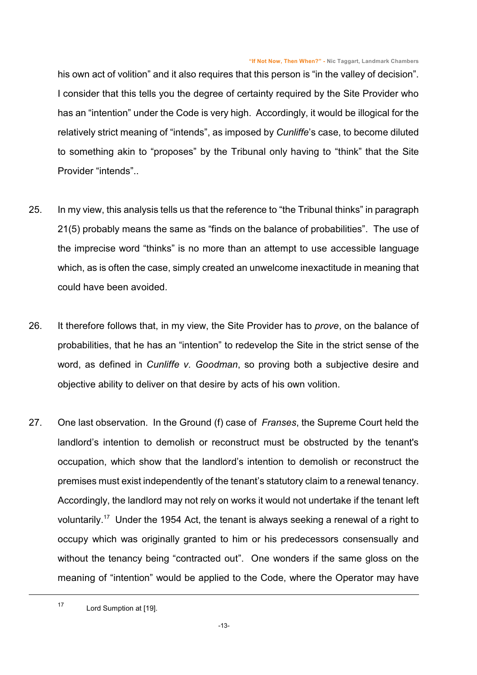<span id="page-12-0"></span>his own act of volition" and it also requires that this person is "in the valley of decision". I consider that this tells you the degree of certainty required by the Site Provider who has an "intention" under the Code is very high. Accordingly, it would be illogical for the relatively strict meaning of "intends", as imposed by *Cunliffe*'s case, to become diluted to something akin to "proposes" by the Tribunal only having to "think" that the Site Provider "intends"..

- 25. In my view, this analysis tells us that the reference to "the Tribunal thinks" in paragraph 21(5) probably means the same as "finds on the balance of probabilities". The use of the imprecise word "thinks" is no more than an attempt to use accessible language which, as is often the case, simply created an unwelcome inexactitude in meaning that could have been avoided.
- 26. It therefore follows that, in my view, the Site Provider has to *prove*, on the balance of probabilities, that he has an "intention" to redevelop the Site in the strict sense of the word, as defined in *Cunliffe v. Goodman*, so proving both a subjective desire and objective ability to deliver on that desire by acts of his own volition.
- 27. One last observation. In the Ground (f) case of *Franses*, the Supreme Court held the landlord's intention to demolish or reconstruct must be obstructed by the tenant's occupation, which show that the landlord's intention to demolish or reconstruct the premises must exist independently of the tenant's statutory claim to a renewal tenancy. Accordingly, the landlord may not rely on works it would not undertake if the tenant left voluntarily.<sup>17</sup> Under the 1954 Act, the tenant is always seeking a renewal of a right to occupy which was originally granted to him or his predecessors consensually and without the tenancy being "contracted out". One wonders if the same gloss on the meaning of "intention" would be applied to the Code, where the Operator may have

<sup>17</sup> Lord Sumption at [19].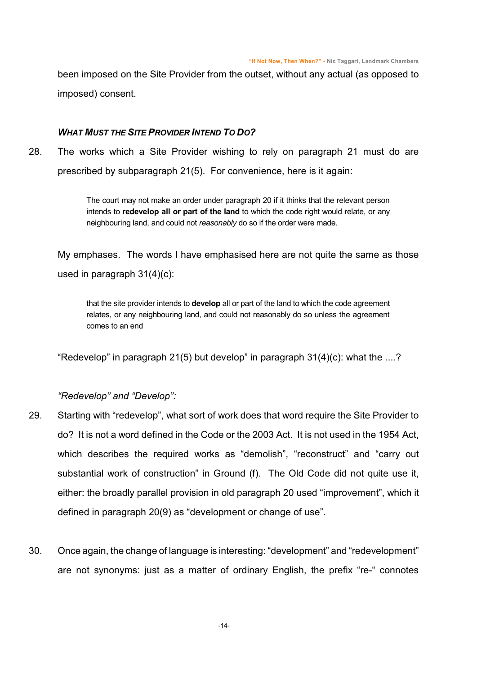been imposed on the Site Provider from the outset, without any actual (as opposed to imposed) consent.

#### *WHAT MUST THE SITE PROVIDER INTEND TO DO?*

28. The works which a Site Provider wishing to rely on paragraph 21 must do are prescribed by subparagraph 21(5). For convenience, here is it again:

> <span id="page-13-0"></span>The court may not make an order under paragraph 20 if it thinks that the relevant person intends to **redevelop all or part of the land** to which the code right would relate, or any neighbouring land, and could not *reasonably* do so if the order were made.

My emphases. The words I have emphasised here are not quite the same as those used in paragraph 31(4)(c):

that the site provider intends to **develop** all or part of the land to which the code agreement relates, or any neighbouring land, and could not reasonably do so unless the agreement comes to an end

"Redevelop" in paragraph 21(5) but develop" in paragraph  $31(4)(c)$ : what the ....?

## *"Redevelop" and "Develop":*

- 29. Starting with "redevelop", what sort of work does that word require the Site Provider to do? It is not a word defined in the Code or the 2003 Act. It is not used in the 1954 Act, which describes the required works as "demolish", "reconstruct" and "carry out substantial work of construction" in Ground (f). The Old Code did not quite use it, either: the broadly parallel provision in old paragraph 20 used "improvement", which it defined in paragraph 20(9) as "development or change of use".
- 30. Once again, the change of language is interesting: "development" and "redevelopment" are not synonyms: just as a matter of ordinary English, the prefix "re-" connotes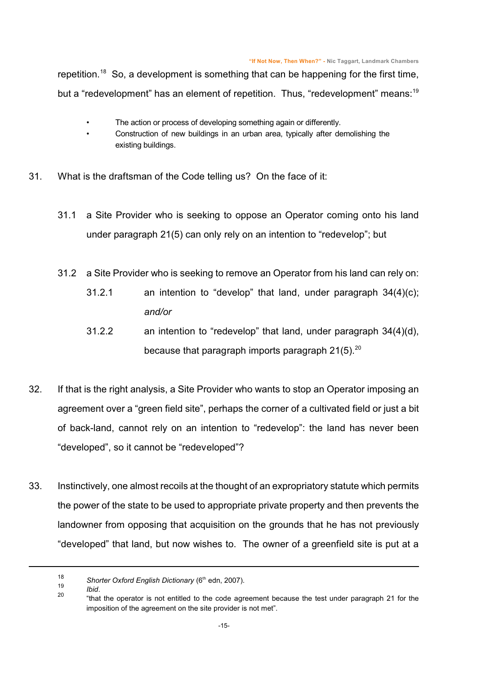repetition.<sup>18</sup> So, a development is something that can be happening for the first time, but a "redevelopment" has an element of repetition. Thus, "redevelopment" means:<sup>19</sup>

- The action or process of developing something again or differently.
- Construction of new buildings in an urban area, typically after demolishing the existing buildings.
- 31. What is the draftsman of the Code telling us? On the face of it:
	- 31.1 a Site Provider who is seeking to oppose an Operator coming onto his land under paragraph 21(5) can only rely on an intention to "redevelop"; but
	- 31.2 a Site Provider who is seeking to remove an Operator from his land can rely on:
		- 31.2.1 an intention to "develop" that land, under paragraph 34(4)(c); *and/or*
		- 31.2.2 an intention to "redevelop" that land, under paragraph 34(4)(d), because that paragraph imports paragraph  $21(5)$ .<sup>20</sup>
- 32. If that is the right analysis, a Site Provider who wants to stop an Operator imposing an agreement over a "green field site", perhaps the corner of a cultivated field or just a bit of back-land, cannot rely on an intention to "redevelop": the land has never been "developed", so it cannot be "redeveloped"?
- 33. Instinctively, one almost recoils at the thought of an expropriatory statute which permits the power of the state to be used to appropriate private property and then prevents the landowner from opposing that acquisition on the grounds that he has not previously "developed" that land, but now wishes to. The owner of a greenfield site is put at a

20

*Ibid*.

<sup>18</sup> Shorter Oxford English Dictionary (6<sup>th</sup> edn, 2007). 19

<sup>&</sup>quot;that the operator is not entitled to the code agreement because the test under paragraph 21 for the imposition of the agreement on the site provider is not met".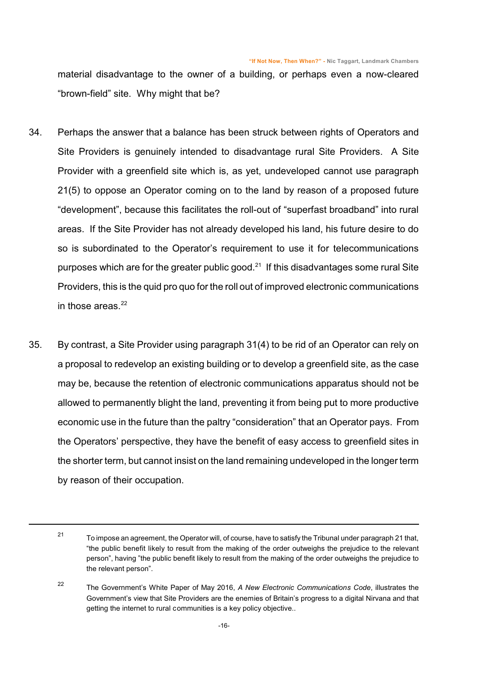material disadvantage to the owner of a building, or perhaps even a now-cleared "brown-field" site. Why might that be?

- 34. Perhaps the answer that a balance has been struck between rights of Operators and Site Providers is genuinely intended to disadvantage rural Site Providers. A Site Provider with a greenfield site which is, as yet, undeveloped cannot use paragraph 21(5) to oppose an Operator coming on to the land by reason of a proposed future "development", because this facilitates the roll-out of "superfast broadband" into rural areas. If the Site Provider has not already developed his land, his future desire to do so is subordinated to the Operator's requirement to use it for telecommunications purposes which are for the greater public good. $^{21}$  If this disadvantages some rural Site Providers, this is the quid pro quo for the roll out of improved electronic communications in those areas. $22$
- 35. By contrast, a Site Provider using paragraph 31(4) to be rid of an Operator can rely on a proposal to redevelop an existing building or to develop a greenfield site, as the case may be, because the retention of electronic communications apparatus should not be allowed to permanently blight the land, preventing it from being put to more productive economic use in the future than the paltry "consideration" that an Operator pays. From the Operators' perspective, they have the benefit of easy access to greenfield sites in the shorter term, but cannot insist on the land remaining undeveloped in the longer term by reason of their occupation.

<sup>21</sup> To impose an agreement, the Operator will, of course, have to satisfy the Tribunal under paragraph 21 that, "the public benefit likely to result from the making of the order outweighs the prejudice to the relevant person", having "the public benefit likely to result from the making of the order outweighs the prejudice to the relevant person".

<sup>22</sup> The Government's White Paper of May 2016, *A New Electronic Communications Code*, illustrates the Government's view that Site Providers are the enemies of Britain's progress to a digital Nirvana and that getting the internet to rural communities is a key policy objective..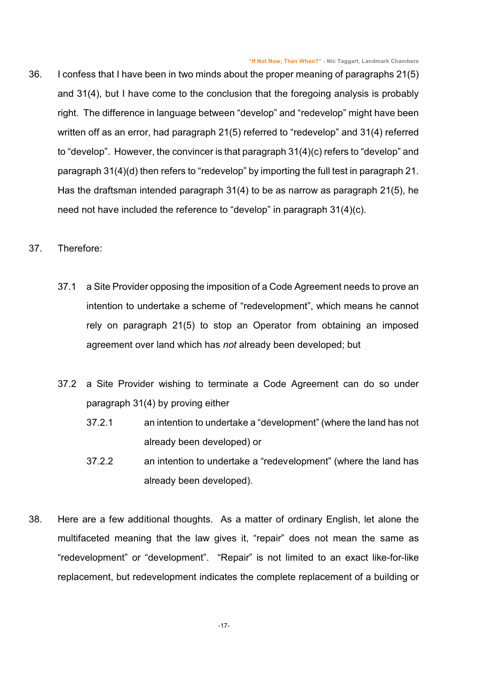- 36. I confess that I have been in two minds about the proper meaning of paragraphs 21(5) and 31(4), but I have come to the conclusion that the foregoing analysis is probably right. The difference in language between "develop" and "redevelop" might have been written off as an error, had paragraph 21(5) referred to "redevelop" and 31(4) referred to "develop". However, the convincer is that paragraph 31(4)(c) refers to "develop" and paragraph 31(4)(d) then refers to "redevelop" by importing the full test in paragraph 21. Has the draftsman intended paragraph 31(4) to be as narrow as paragraph 21(5), he need not have included the reference to "develop" in paragraph 31(4)(c).
- <span id="page-16-0"></span>37. Therefore:
	- 37.1 a Site Provider opposing the imposition of a Code Agreement needs to prove an intention to undertake a scheme of "redevelopment", which means he cannot rely on paragraph 21(5) to stop an Operator from obtaining an imposed agreement over land which has *not* already been developed; but
	- 37.2 a Site Provider wishing to terminate a Code Agreement can do so under paragraph 31(4) by proving either
		- 37.2.1 an intention to undertake a "development" (where the land has not already been developed) or
		- 37.2.2 an intention to undertake a "redevelopment" (where the land has already been developed).
- 38. Here are a few additional thoughts. As a matter of ordinary English, let alone the multifaceted meaning that the law gives it, "repair" does not mean the same as "redevelopment" or "development". "Repair" is not limited to an exact like-for-like replacement, but redevelopment indicates the complete replacement of a building or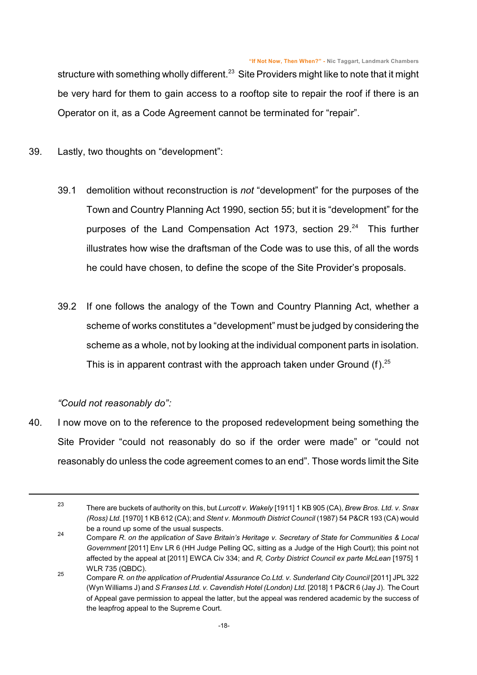structure with something wholly different.<sup>23</sup> Site Providers might like to note that it might be very hard for them to gain access to a rooftop site to repair the roof if there is an Operator on it, as a Code Agreement cannot be terminated for "repair".

- 39. Lastly, two thoughts on "development":
	- 39.1 demolition without reconstruction is *not* "development" for the purposes of the Town and Country Planning Act 1990, section 55; but it is "development" for the purposes of the Land Compensation Act 1973, section 29.<sup>24</sup> This further illustrates how wise the draftsman of the Code was to use this, of all the words he could have chosen, to define the scope of the Site Provider's proposals.
	- 39.2 If one follows the analogy of the Town and Country Planning Act, whether a scheme of works constitutes a "development" must be judged by considering the scheme as a whole, not by looking at the individual component parts in isolation. This is in apparent contrast with the approach taken under Ground  $(f)$ .<sup>25</sup>

*"Could not reasonably do":*

40. I now move on to the reference to the proposed redevelopment being something the Site Provider "could not reasonably do so if the order were made" or "could not reasonably do unless the code agreement comes to an end". Those words limit the Site

<sup>23</sup> There are buckets of authority on this, but *Lurcott v. Wakely* [1911] 1 KB 905 (CA), *Brew Bros. Ltd. v. Snax (Ross) Ltd.* [1970] 1 KB 612 (CA); and *Stent v. Monmouth District Council* (1987) 54 P&CR 193 (CA) would be a round up some of the usual suspects. 24

Compare *R. on the application of Save Britain's Heritage v. Secretary of State for Communities & Local Government* [2011] Env LR 6 (HH Judge Pelling QC, sitting as a Judge of the High Court); this point not affected by the appeal at [2011] EWCA Civ 334; and *R, Corby District Council ex parte McLean* [1975] 1 WLR 735 (QBDC).

<sup>25</sup> Compare *R. on the application of Prudential Assurance Co.Ltd. v. Sunderland City Council* [2011] JPL 322 (Wyn Williams J) and *S Franses Ltd. v. Cavendish Hotel (London) Ltd.* [2018] 1 P&CR 6 (Jay J). The Court of Appeal gave permission to appeal the latter, but the appeal was rendered academic by the success of the leapfrog appeal to the Supreme Court.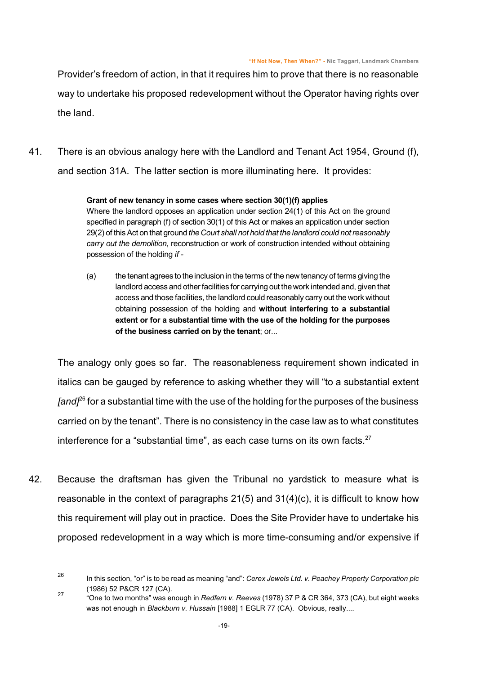Provider's freedom of action, in that it requires him to prove that there is no reasonable way to undertake his proposed redevelopment without the Operator having rights over the land.

41. There is an obvious analogy here with the Landlord and Tenant Act 1954, Ground (f), and section 31A. The latter section is more illuminating here. It provides:

#### **Grant of new tenancy in some cases where section 30(1)(f) applies**

Where the landlord opposes an application under section 24(1) of this Act on the ground specified in paragraph (f) of section 30(1) of this Act or makes an application under section 29(2) of thisAct on that ground *the Court shall not hold that the landlord could not reasonably carry out the demolition*, reconstruction or work of construction intended without obtaining possession of the holding *if -*

(a) the tenant agrees to the inclusion in the terms of the new tenancy of terms giving the landlord access and other facilities for carrying out the work intended and, given that access and those facilities, the landlord could reasonably carry out the work without obtaining possession of the holding and **without interfering to a substantial extent or for a substantial time with the use of the holding for the purposes of the business carried on by the tenant**; or...

The analogy only goes so far. The reasonableness requirement shown indicated in italics can be gauged by reference to asking whether they will "to a substantial extent *[and]<sup>26</sup>* for a substantial time with the use of the holding for the purposes of the business carried on by the tenant". There is no consistency in the case law as to what constitutes interference for a "substantial time", as each case turns on its own facts.<sup>27</sup>

42. Because the draftsman has given the Tribunal no yardstick to measure what is reasonable in the context of paragraphs  $21(5)$  and  $31(4)(c)$ , it is difficult to know how this requirement will play out in practice. Does the Site Provider have to undertake his proposed redevelopment in a way which is more time-consuming and/or expensive if

<sup>26</sup>

In this section, "or" is to be read as meaning "and": *Cerex Jewels Ltd. v. Peachey Property Corporation plc* (1986) 52 P&CR 127 (CA).

<sup>27</sup> "One to two months" was enough in *Redfern v. Reeves* (1978) 37 P & CR 364, 373 (CA), but eight weeks was not enough in *Blackburn v. Hussain* [1988] 1 EGLR 77 (CA). Obvious, really....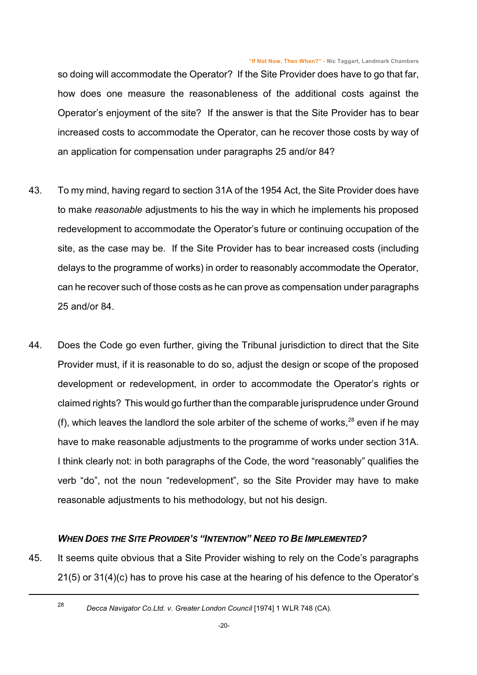so doing will accommodate the Operator? If the Site Provider does have to go that far, how does one measure the reasonableness of the additional costs against the Operator's enjoyment of the site? If the answer is that the Site Provider has to bear increased costs to accommodate the Operator, can he recover those costs by way of an application for compensation under paragraphs 25 and/or 84?

- 43. To my mind, having regard to section 31A of the 1954 Act, the Site Provider does have to make *reasonable* adjustments to his the way in which he implements his proposed redevelopment to accommodate the Operator's future or continuing occupation of the site, as the case may be. If the Site Provider has to bear increased costs (including delays to the programme of works) in order to reasonably accommodate the Operator, can he recover such of those costs as he can prove as compensation under paragraphs 25 and/or 84.
- 44. Does the Code go even further, giving the Tribunal jurisdiction to direct that the Site Provider must, if it is reasonable to do so, adjust the design or scope of the proposed development or redevelopment, in order to accommodate the Operator's rights or claimed rights? This would go further than the comparable jurisprudence under Ground (f), which leaves the landlord the sole arbiter of the scheme of works, $28$  even if he may have to make reasonable adjustments to the programme of works under section 31A. I think clearly not: in both paragraphs of the Code, the word "reasonably" qualifies the verb "do", not the noun "redevelopment", so the Site Provider may have to make reasonable adjustments to his methodology, but not his design.

#### *WHEN DOES THE SITE PROVIDER'S "INTENTION" NEED TO BE IMPLEMENTED?*

45. It seems quite obvious that a Site Provider wishing to rely on the Code's paragraphs 21(5) or 31(4)(c) has to prove his case at the hearing of his defence to the Operator's

28

*Decca Navigator Co.Ltd. v. Greater London Council* [1974] 1 WLR 748 (CA).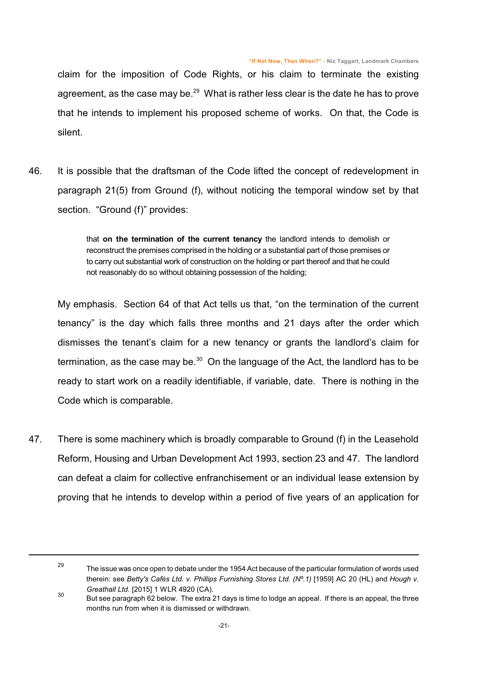claim for the imposition of Code Rights, or his claim to terminate the existing agreement, as the case may be. $^{29}$  What is rather less clear is the date he has to prove that he intends to implement his proposed scheme of works. On that, the Code is silent.

46. It is possible that the draftsman of the Code lifted the concept of redevelopment in paragraph 21(5) from Ground (f), without noticing the temporal window set by that section. "Ground (f)" provides:

> <span id="page-20-0"></span>that **on the termination of the current tenancy** the landlord intends to demolish or reconstruct the premises comprised in the holding or a substantial part of those premises or to carry out substantial work of construction on the holding or part thereof and that he could not reasonably do so without obtaining possession of the holding;

My emphasis. Section 64 of that Act tells us that, "on the termination of the current tenancy" is the day which falls three months and 21 days after the order which dismisses the tenant's claim for a new tenancy or grants the landlord's claim for termination, as the case may be. $30$  On the language of the Act, the landlord has to be ready to start work on a readily identifiable, if variable, date. There is nothing in the Code which is comparable.

47. There is some machinery which is broadly comparable to Ground (f) in the Leasehold Reform, Housing and Urban Development Act 1993, section 23 and 47. The landlord can defeat a claim for collective enfranchisement or an individual lease extension by proving that he intends to develop within a period of five years of an application for

<sup>29</sup> The issue was once open to debate under the 1954 Act because of the particular formulation of words used therein: see *Betty's Cafés Ltd. v. Phillips Furnishing Stores Ltd. (Nº.1)* [1959] AC 20 (HL) and *Hough v. Greathall Ltd.* [2015] 1 WLR 4920 (CA).

<sup>30</sup> But see paragraph [62](#page-26-0) below. The extra 21 days is time to lodge an appeal. If there is an appeal, the three months run from when it is dismissed or withdrawn.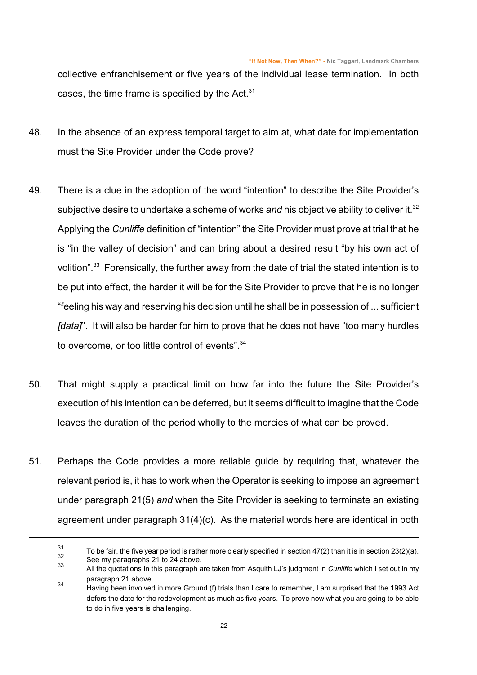collective enfranchisement or five years of the individual lease termination. In both cases, the time frame is specified by the Act. $31$ 

- 48. In the absence of an express temporal target to aim at, what date for implementation must the Site Provider under the Code prove?
- 49. There is a clue in the adoption of the word "intention" to describe the Site Provider's subjective desire to undertake a scheme of works *and* his objective ability to deliver it.<sup>32</sup> Applying the *Cunliffe* definition of "intention" the Site Provider must prove at trial that he is "in the valley of decision" and can bring about a desired result "by his own act of volition".<sup>33</sup> Forensically, the further away from the date of trial the stated intention is to be put into effect, the harder it will be for the Site Provider to prove that he is no longer "feeling his way and reserving his decision until he shall be in possession of ... sufficient *[data]*". It will also be harder for him to prove that he does not have "too many hurdles to overcome, or too little control of events".<sup>34</sup>
- 50. That might supply a practical limit on how far into the future the Site Provider's execution of his intention can be deferred, but it seems difficult to imagine that the Code leaves the duration of the period wholly to the mercies of what can be proved.
- 51. Perhaps the Code provides a more reliable guide by requiring that, whatever the relevant period is, it has to work when the Operator is seeking to impose an agreement under paragraph 21(5) *and* when the Site Provider is seeking to terminate an existing agreement under paragraph 31(4)(c). As the material words here are identical in both

<sup>31</sup> To be fair, the five year period is rather more clearly specified in section 47(2) than it is in section 23(2)(a). 32 See my paragraphs [21](#page-10-0) to [24](#page-12-0) above.

<sup>33</sup> All the quotations in this paragraph are taken from Asquith LJ's judgment in *Cunliffe* which I set out in my paragraph [21](#page-10-0) above.

<sup>34</sup> Having been involved in more Ground (f) trials than I care to remember, I am surprised that the 1993 Act defers the date for the redevelopment as much as five years. To prove now what you are going to be able to do in five years is challenging.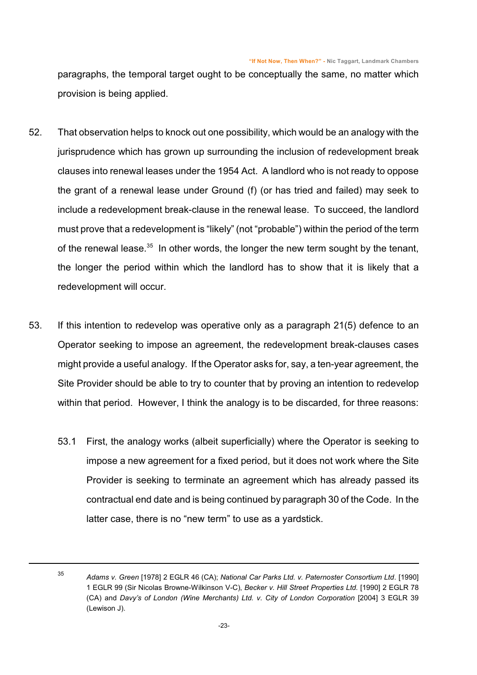paragraphs, the temporal target ought to be conceptually the same, no matter which provision is being applied.

- 52. That observation helps to knock out one possibility, which would be an analogy with the jurisprudence which has grown up surrounding the inclusion of redevelopment break clauses into renewal leases under the 1954 Act. A landlord who is not ready to oppose the grant of a renewal lease under Ground (f) (or has tried and failed) may seek to include a redevelopment break-clause in the renewal lease. To succeed, the landlord must prove that a redevelopment is "likely" (not "probable") within the period of the term of the renewal lease.<sup>35</sup> In other words, the longer the new term sought by the tenant, the longer the period within which the landlord has to show that it is likely that a redevelopment will occur.
- 53. If this intention to redevelop was operative only as a paragraph 21(5) defence to an Operator seeking to impose an agreement, the redevelopment break-clauses cases might provide a useful analogy. If the Operator asks for, say, a ten-year agreement, the Site Provider should be able to try to counter that by proving an intention to redevelop within that period. However, I think the analogy is to be discarded, for three reasons:
	- 53.1 First, the analogy works (albeit superficially) where the Operator is seeking to impose a new agreement for a fixed period, but it does not work where the Site Provider is seeking to terminate an agreement which has already passed its contractual end date and is being continued by paragraph 30 of the Code. In the latter case, there is no "new term" to use as a yardstick.

<sup>35</sup>

*Adams v. Green* [1978] 2 EGLR 46 (CA); *National Car Parks Ltd. v. Paternoster Consortium Ltd*. [1990] 1 EGLR 99 (Sir Nicolas Browne-Wilkinson V-C), *Becker v. Hill Street Properties Ltd.* [1990] 2 EGLR 78 (CA) and *Davy's of London (Wine Merchants) Ltd. v. City of London Corporation* [2004] 3 EGLR 39 (Lewison J).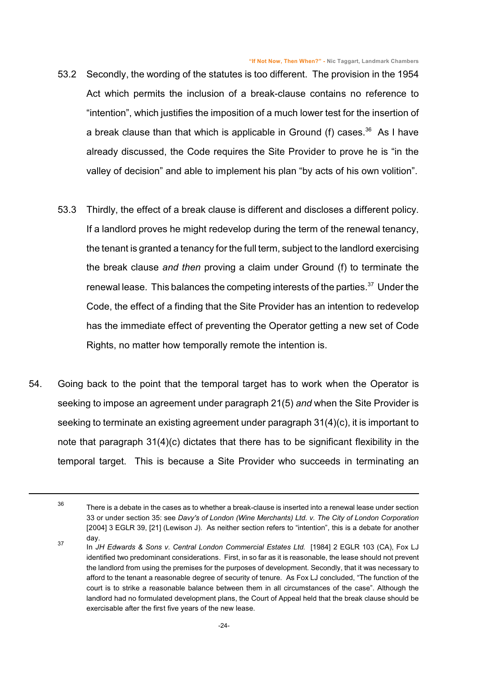- 53.2 Secondly, the wording of the statutes is too different. The provision in the 1954 Act which permits the inclusion of a break-clause contains no reference to "intention", which justifies the imposition of a much lower test for the insertion of a break clause than that which is applicable in Ground (f) cases.<sup>36</sup> As I have already discussed, the Code requires the Site Provider to prove he is "in the valley of decision" and able to implement his plan "by acts of his own volition".
- 53.3 Thirdly, the effect of a break clause is different and discloses a different policy. If a landlord proves he might redevelop during the term of the renewal tenancy, the tenant is granted a tenancy for the full term, subject to the landlord exercising the break clause *and then* proving a claim under Ground (f) to terminate the renewal lease. This balances the competing interests of the parties.<sup>37</sup> Under the Code, the effect of a finding that the Site Provider has an intention to redevelop has the immediate effect of preventing the Operator getting a new set of Code Rights, no matter how temporally remote the intention is.
- 54. Going back to the point that the temporal target has to work when the Operator is seeking to impose an agreement under paragraph 21(5) *and* when the Site Provider is seeking to terminate an existing agreement under paragraph 31(4)(c), it is important to note that paragraph 31(4)(c) dictates that there has to be significant flexibility in the temporal target. This is because a Site Provider who succeeds in terminating an

<sup>36</sup> There is a debate in the cases as to whether a break-clause is inserted into a renewal lease under section 33 or under section 35: see *Davy's of London (Wine Merchants) Ltd. v. The City of London Corporation* [2004] 3 EGLR 39, [21] (Lewison J). As neither section refers to "intention", this is a debate for another day.

<sup>37</sup> In *JH Edwards & Sons v. Central London Commercial Estates Ltd.* [1984] 2 EGLR 103 (CA), Fox LJ identified two predominant considerations. First, in so far as it is reasonable, the lease should not prevent the landlord from using the premises for the purposes of development. Secondly, that it was necessary to afford to the tenant a reasonable degree of security of tenure. As Fox LJ concluded, "The function of the court is to strike a reasonable balance between them in all circumstances of the case". Although the landlord had no formulated development plans, the Court of Appeal held that the break clause should be exercisable after the first five years of the new lease.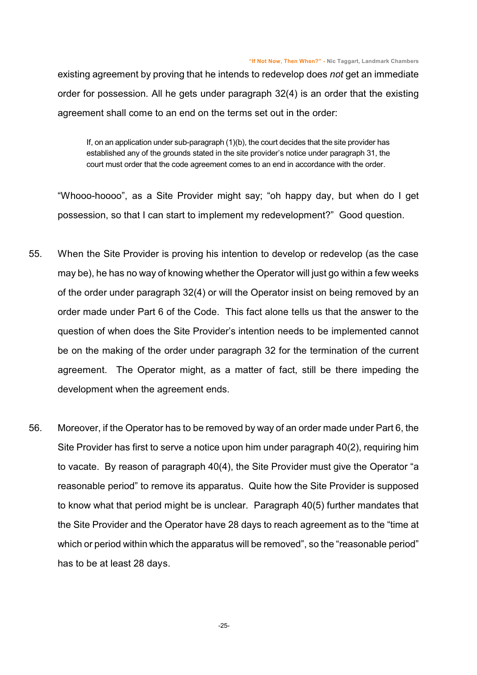existing agreement by proving that he intends to redevelop does *not* get an immediate order for possession. All he gets under paragraph 32(4) is an order that the existing agreement shall come to an end on the terms set out in the order:

If, on an application under sub-paragraph (1)(b), the court decides that the site provider has established any of the grounds stated in the site provider's notice under paragraph 31, the court must order that the code agreement comes to an end in accordance with the order.

"Whooo-hoooo", as a Site Provider might say; "oh happy day, but when do I get possession, so that I can start to implement my redevelopment?" Good question.

- 55. When the Site Provider is proving his intention to develop or redevelop (as the case may be), he has no way of knowing whether the Operator will just go within a few weeks of the order under paragraph 32(4) or will the Operator insist on being removed by an order made under Part 6 of the Code. This fact alone tells us that the answer to the question of when does the Site Provider's intention needs to be implemented cannot be on the making of the order under paragraph 32 for the termination of the current agreement. The Operator might, as a matter of fact, still be there impeding the development when the agreement ends.
- 56. Moreover, if the Operator has to be removed by way of an order made under Part 6, the Site Provider has first to serve a notice upon him under paragraph 40(2), requiring him to vacate. By reason of paragraph 40(4), the Site Provider must give the Operator "a reasonable period" to remove its apparatus. Quite how the Site Provider is supposed to know what that period might be is unclear. Paragraph 40(5) further mandates that the Site Provider and the Operator have 28 days to reach agreement as to the "time at which or period within which the apparatus will be removed", so the "reasonable period" has to be at least 28 days.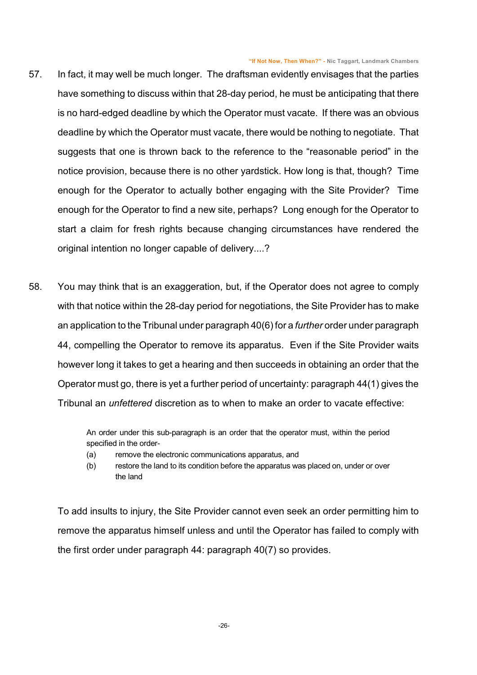- 57. In fact, it may well be much longer. The draftsman evidently envisages that the parties have something to discuss within that 28-day period, he must be anticipating that there is no hard-edged deadline by which the Operator must vacate. If there was an obvious deadline by which the Operator must vacate, there would be nothing to negotiate. That suggests that one is thrown back to the reference to the "reasonable period" in the notice provision, because there is no other yardstick. How long is that, though? Time enough for the Operator to actually bother engaging with the Site Provider? Time enough for the Operator to find a new site, perhaps? Long enough for the Operator to start a claim for fresh rights because changing circumstances have rendered the original intention no longer capable of delivery....?
- 58. You may think that is an exaggeration, but, if the Operator does not agree to comply with that notice within the 28-day period for negotiations, the Site Provider has to make an application to the Tribunal under paragraph 40(6) for a *further* order under paragraph 44, compelling the Operator to remove its apparatus. Even if the Site Provider waits however long it takes to get a hearing and then succeeds in obtaining an order that the Operator must go, there is yet a further period of uncertainty: paragraph 44(1) gives the Tribunal an *unfettered* discretion as to when to make an order to vacate effective:

An order under this sub-paragraph is an order that the operator must, within the period specified in the order-

- (a) remove the electronic communications apparatus, and
- (b) restore the land to its condition before the apparatus was placed on, under or over the land

To add insults to injury, the Site Provider cannot even seek an order permitting him to remove the apparatus himself unless and until the Operator has failed to comply with the first order under paragraph 44: paragraph 40(7) so provides.

-26-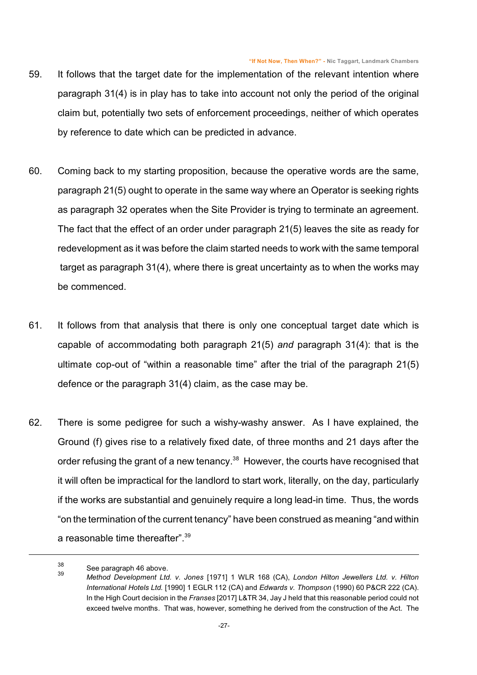- 59. It follows that the target date for the implementation of the relevant intention where paragraph 31(4) is in play has to take into account not only the period of the original claim but, potentially two sets of enforcement proceedings, neither of which operates by reference to date which can be predicted in advance.
- 60. Coming back to my starting proposition, because the operative words are the same, paragraph 21(5) ought to operate in the same way where an Operator is seeking rights as paragraph 32 operates when the Site Provider is trying to terminate an agreement. The fact that the effect of an order under paragraph 21(5) leaves the site as ready for redevelopment as it was before the claim started needs to work with the same temporal target as paragraph 31(4), where there is great uncertainty as to when the works may be commenced.
- 61. It follows from that analysis that there is only one conceptual target date which is capable of accommodating both paragraph 21(5) *and* paragraph 31(4): that is the ultimate cop-out of "within a reasonable time" after the trial of the paragraph 21(5) defence or the paragraph 31(4) claim, as the case may be.
- 62. There is some pedigree for such a wishy-washy answer. As I have explained, the Ground (f) gives rise to a relatively fixed date, of three months and 21 days after the order refusing the grant of a new tenancy.<sup>38</sup> However, the courts have recognised that it will often be impractical for the landlord to start work, literally, on the day, particularly if the works are substantial and genuinely require a long lead-in time. Thus, the words "on the termination of the current tenancy" have been construed as meaning "and within a reasonable time thereafter".<sup>39</sup>

<span id="page-26-0"></span><sup>38</sup> See paragraph [46](#page-20-0) above.

<sup>39</sup> *Method Development Ltd. v. Jones* [1971] 1 WLR 168 (CA), *London Hilton Jewellers Ltd. v. Hilton International Hotels Ltd.* [1990] 1 EGLR 112 (CA) and *Edwards v. Thompson* (1990) 60 P&CR 222 (CA). In the High Court decision in the *Franses* [2017] L&TR 34, Jay J held that this reasonable period could not exceed twelve months. That was, however, something he derived from the construction of the Act. The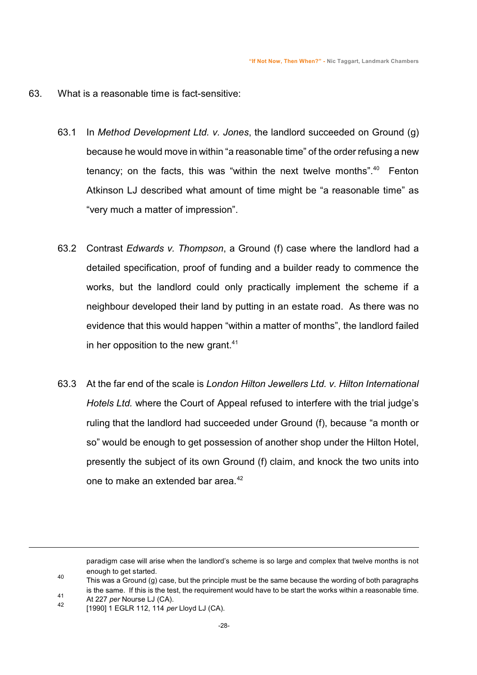#### 63. What is a reasonable time is fact-sensitive:

- 63.1 In *Method Development Ltd. v. Jones*, the landlord succeeded on Ground (g) because he would move in within "a reasonable time" of the order refusing a new tenancy; on the facts, this was "within the next twelve months".<sup>40</sup> Fenton Atkinson LJ described what amount of time might be "a reasonable time" as "very much a matter of impression".
- 63.2 Contrast *Edwards v. Thompson*, a Ground (f) case where the landlord had a detailed specification, proof of funding and a builder ready to commence the works, but the landlord could only practically implement the scheme if a neighbour developed their land by putting in an estate road. As there was no evidence that this would happen "within a matter of months", the landlord failed in her opposition to the new grant. $41$
- 63.3 At the far end of the scale is *London Hilton Jewellers Ltd. v. Hilton International Hotels Ltd.* where the Court of Appeal refused to interfere with the trial judge's ruling that the landlord had succeeded under Ground (f), because "a month or so" would be enough to get possession of another shop under the Hilton Hotel, presently the subject of its own Ground (f) claim, and knock the two units into one to make an extended bar area.<sup>42</sup>

- 40 This was a Ground (g) case, but the principle must be the same because the wording of both paragraphs is the same. If this is the test, the requirement would have to be start the works within a reasonable time.
- 41 At 227 *per* Nourse LJ (CA).

paradigm case will arise when the landlord's scheme is so large and complex that twelve months is not enough to get started.

<sup>42</sup> [1990] 1 EGLR 112, 114 *per* Lloyd LJ (CA).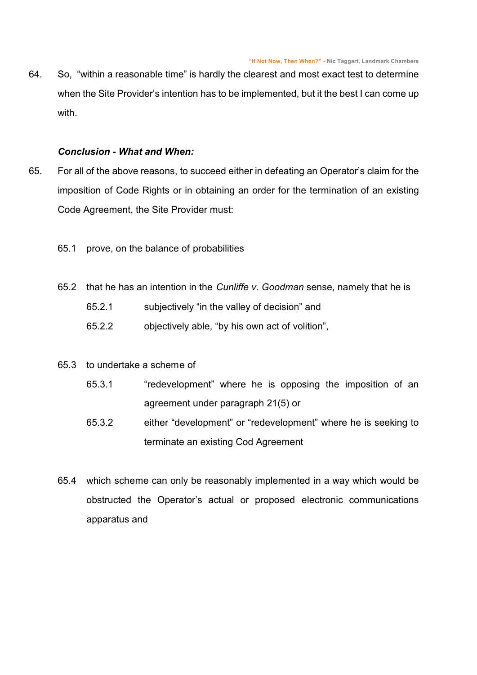64. So, "within a reasonable time" is hardly the clearest and most exact test to determine when the Site Provider's intention has to be implemented, but it the best I can come up with.

#### *Conclusion - What and When:*

- 65. For all of the above reasons, to succeed either in defeating an Operator's claim for the imposition of Code Rights or in obtaining an order for the termination of an existing Code Agreement, the Site Provider must:
	- 65.1 prove, on the balance of probabilities
	- 65.2 that he has an intention in the *Cunliffe v. Goodman* sense, namely that he is 65.2.1 subjectively "in the valley of decision" and
		- 65.2.2 objectively able, "by his own act of volition",
	- 65.3 to undertake a scheme of
		- 65.3.1 "redevelopment" where he is opposing the imposition of an agreement under paragraph 21(5) or
		- 65.3.2 either "development" or "redevelopment" where he is seeking to terminate an existing Cod Agreement
	- 65.4 which scheme can only be reasonably implemented in a way which would be obstructed the Operator's actual or proposed electronic communications apparatus and